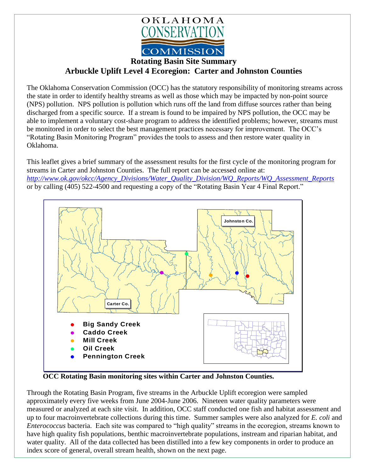

## **Rotating Basin Site Summary Arbuckle Uplift Level 4 Ecoregion: Carter and Johnston Counties**

The Oklahoma Conservation Commission (OCC) has the statutory responsibility of monitoring streams across the state in order to identify healthy streams as well as those which may be impacted by non-point source (NPS) pollution. NPS pollution is pollution which runs off the land from diffuse sources rather than being discharged from a specific source. If a stream is found to be impaired by NPS pollution, the OCC may be able to implement a voluntary cost-share program to address the identified problems; however, streams must be monitored in order to select the best management practices necessary for improvement. The OCC's "Rotating Basin Monitoring Program" provides the tools to assess and then restore water quality in Oklahoma.

This leaflet gives a brief summary of the assessment results for the first cycle of the monitoring program for streams in Carter and Johnston Counties. The full report can be accessed online at: *[http://www.ok.gov/okcc/Agency\\_Divisions/Water\\_Quality\\_Division/WQ\\_Reports/WQ\\_Assessment\\_Reports](http://www.ok.gov/okcc/Agency_Divisions/Water_Quality_Division/WQ_Reports/WQ_Assessment_Reports)* or by calling (405) 522-4500 and requesting a copy of the "Rotating Basin Year 4 Final Report."



**OCC Rotating Basin monitoring sites within Carter and Johnston Counties.**

Through the Rotating Basin Program, five streams in the Arbuckle Uplift ecoregion were sampled approximately every five weeks from June 2004-June 2006. Nineteen water quality parameters were measured or analyzed at each site visit. In addition, OCC staff conducted one fish and habitat assessment and up to four macroinvertebrate collections during this time. Summer samples were also analyzed for *E. coli* and *Enterococcus* bacteria. Each site was compared to "high quality" streams in the ecoregion, streams known to have high quality fish populations, benthic macroinvertebrate populations, instream and riparian habitat, and water quality. All of the data collected has been distilled into a few key components in order to produce an index score of general, overall stream health, shown on the next page.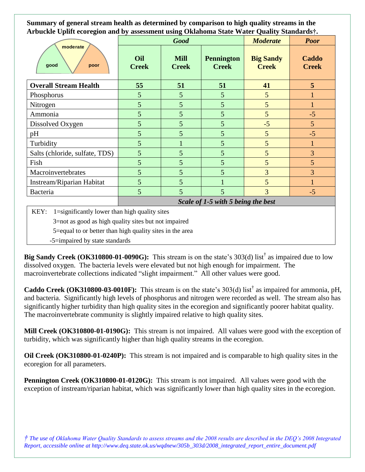**Summary of general stream health as determined by comparison to high quality streams in the Arbuckle Uplift ecoregion and by assessment using Oklahoma State Water Quality Standards†.**

| moderate<br>good<br>poor       | <b>Good</b>                        |                             |                                   | <b>Moderate</b>                  | <b>Poor</b>           |
|--------------------------------|------------------------------------|-----------------------------|-----------------------------------|----------------------------------|-----------------------|
|                                | Oil<br><b>Creek</b>                | <b>Mill</b><br><b>Creek</b> | <b>Pennington</b><br><b>Creek</b> | <b>Big Sandy</b><br><b>Creek</b> | Caddo<br><b>Creek</b> |
| <b>Overall Stream Health</b>   | 55                                 | 51                          | 51                                | 41                               | 5                     |
| Phosphorus                     | 5                                  | 5                           | 5                                 | 5                                |                       |
| Nitrogen                       | 5                                  | 5                           | 5                                 | 5                                |                       |
| Ammonia                        | 5                                  | 5                           | 5                                 | 5                                | $-5$                  |
| Dissolved Oxygen               | 5                                  | 5                           | 5                                 | $-5$                             | 5                     |
| pH                             | 5                                  | 5                           | 5                                 | 5                                | $-5$                  |
| Turbidity                      | 5                                  |                             | 5                                 | 5                                |                       |
| Salts (chloride, sulfate, TDS) | 5                                  | 5                           | 5                                 | 5                                | 3                     |
| Fish                           | 5                                  | 5                           | 5                                 | 5                                | 5                     |
| Macroinvertebrates             | 5                                  | 5                           | 5                                 | 3                                | 3                     |
| Instream/Riparian Habitat      | 5                                  | $\mathfrak{S}$              |                                   | 5                                |                       |
| Bacteria                       | 5                                  | 5                           | 5                                 | $\overline{3}$                   | $-5$                  |
|                                | Scale of 1-5 with 5 being the best |                             |                                   |                                  |                       |

KEY:  $1 =$ significantly lower than high quality sites

3=not as good as high quality sites but not impaired

5=equal to or better than high quality sites in the area

-5=impaired by state standards

**Big Sandy Creek (OK310800-01-0090G):** This stream is on the state's 303(d) list<sup>†</sup> as impaired due to low dissolved oxygen. The bacteria levels were elevated but not high enough for impairment. The macroinvertebrate collections indicated "slight impairment." All other values were good.

**Caddo Creek** (OK310800-03-0010F): This stream is on the state's  $303(d)$  list<sup>†</sup> as impaired for ammonia, pH, and bacteria. Significantly high levels of phosphorus and nitrogen were recorded as well. The stream also has significantly higher turbidity than high quality sites in the ecoregion and significantly poorer habitat quality. The macroinvertebrate community is slightly impaired relative to high quality sites.

**Mill Creek (OK310800-01-0190G):** This stream is not impaired. All values were good with the exception of turbidity, which was significantly higher than high quality streams in the ecoregion.

**Oil Creek (OK310800-01-0240P):** This stream is not impaired and is comparable to high quality sites in the ecoregion for all parameters.

**Pennington Creek (OK310800-01-0120G):** This stream is not impaired. All values were good with the exception of instream/riparian habitat, which was significantly lower than high quality sites in the ecoregion.

*† The use of Oklahoma Water Quality Standards to assess streams and the 2008 results are described in the DEQ's 2008 Integrated Report, accessible online at http://www.deq.state.ok.us/wqdnew/305b\_303d/2008\_integrated\_report\_entire\_document.pdf*